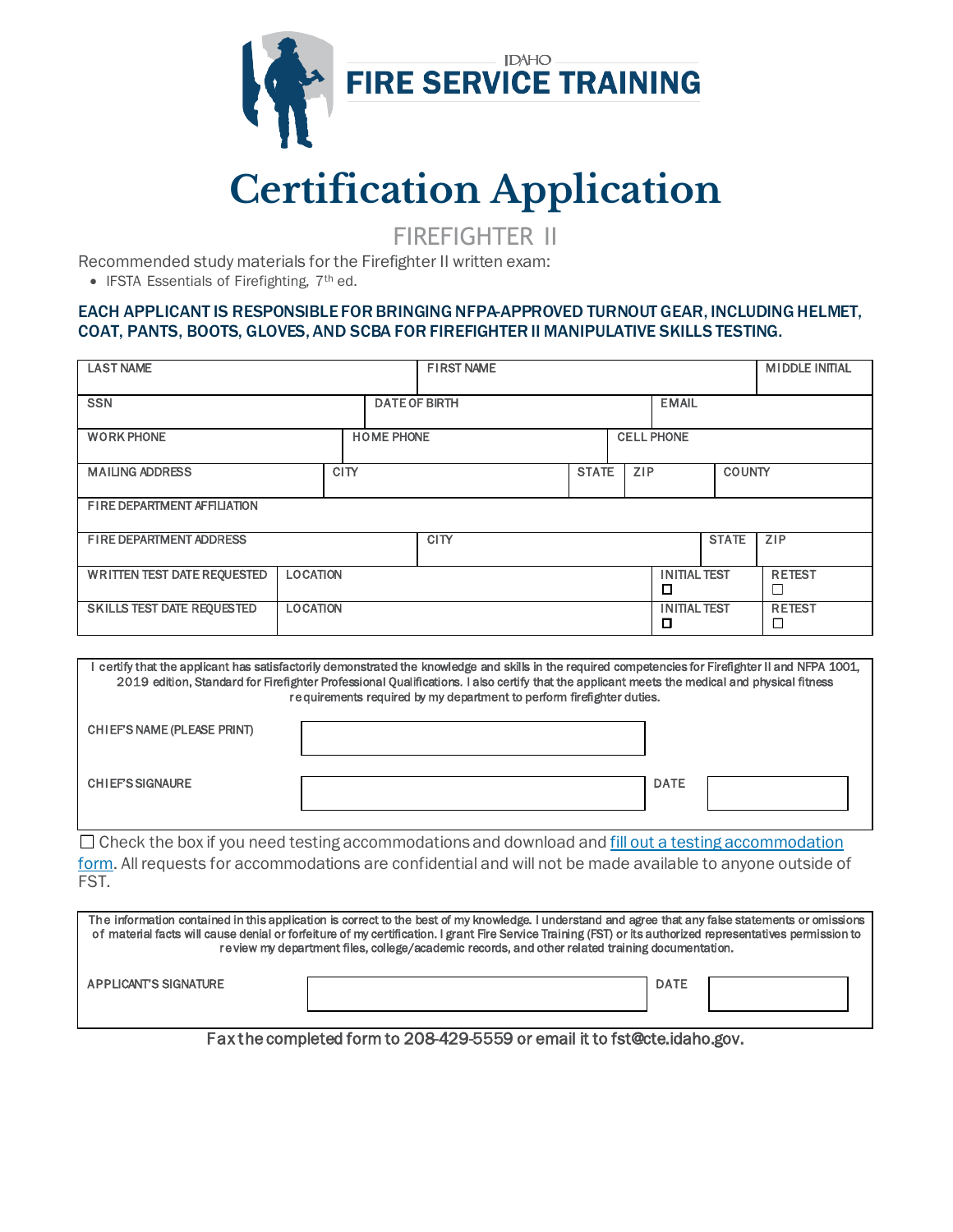

## **Certification Application**

FIREFIGHTER II

Recommended study materials for the Firefighter II written exam:

• IFSTA Essentials of Firefighting, 7<sup>th</sup> ed.

## EACH APPLICANT IS RESPONSIBLE FOR BRINGING NFPA-APPROVED TURNOUT GEAR, INCLUDING HELMET, COAT, PANTS, BOOTS, GLOVES, AND SCBA FOR FIREFIGHTER II MANIPULATIVE SKILLS TESTING.

| <b>LAST NAME</b>                   |                   |             |                      | <b>FIRST NAME</b> |                          |                          |              |               | <b>MIDDLE INITAL</b> |
|------------------------------------|-------------------|-------------|----------------------|-------------------|--------------------------|--------------------------|--------------|---------------|----------------------|
| <b>SSN</b>                         |                   |             | <b>DATE OF BIRTH</b> |                   |                          |                          | <b>EMAIL</b> |               |                      |
| <b>WORK PHONE</b>                  | <b>HOME PHONE</b> |             |                      |                   |                          | <b>CELL PHONE</b>        |              |               |                      |
| <b>MAILING ADDRESS</b>             |                   | <b>CITY</b> |                      |                   | <b>STATE</b>             | <b>ZIP</b>               |              | <b>COUNTY</b> |                      |
| FIRE DEPARTMENT AFFILIATION        |                   |             |                      |                   |                          |                          |              |               |                      |
| FIRE DEPARTMENT ADDRESS            |                   |             | <b>CITY</b>          |                   |                          | <b>STATE</b>             | ZIP          |               |                      |
| <b>WRITTEN TEST DATE REQUESTED</b> | <b>LOCATION</b>   |             |                      |                   | <b>INITIAL TEST</b><br>□ |                          |              |               | <b>RETEST</b>        |
| SKILLS TEST DATE REQUESTED         | <b>LOCATION</b>   |             |                      |                   |                          | <b>INITIAL TEST</b><br>п |              |               | <b>RETEST</b>        |

I certify that the applicant has satisfactorily demonstrated the knowledge and skills in the required competencies for Firefighter II and NFPA 1001, 2019 edition, Standard for Firefighter Professional Qualifications. I also certify that the applicant meets the medical and physical fitness requirements required by my department to perform firefighter duties.

| CHIEF'S NAME (PLEASE PRINT) |             |  |
|-----------------------------|-------------|--|
| <b>CHIEFS SIGNAURE</b>      | <b>DATE</b> |  |

 $\Box$  Check the box if you need testing accommodations and download and fill out a testing accommodation [form.](https://cte.idaho.gov/wp-content/uploads/2021/07/TestingAccommodationForm_070621.pdf) All requests for accommodations are confidential and will not be made available to anyone outside of FST.

| The information contained in this application is correct to the best of my knowledge. I understand and agree that any false statements or omissions<br>of material facts will cause denial or forfeiture of my certification. I grant Fire Service Training (FST) or its authorized representatives permission to<br>review my department files, college/academic records, and other related training documentation. |  |             |  |  |  |  |  |
|----------------------------------------------------------------------------------------------------------------------------------------------------------------------------------------------------------------------------------------------------------------------------------------------------------------------------------------------------------------------------------------------------------------------|--|-------------|--|--|--|--|--|
| <b>APPLICANT'S SIGNATURE</b>                                                                                                                                                                                                                                                                                                                                                                                         |  | <b>DATE</b> |  |  |  |  |  |

Fax the completed form to 208-429-5559 or email it to fst@cte.idaho.gov.